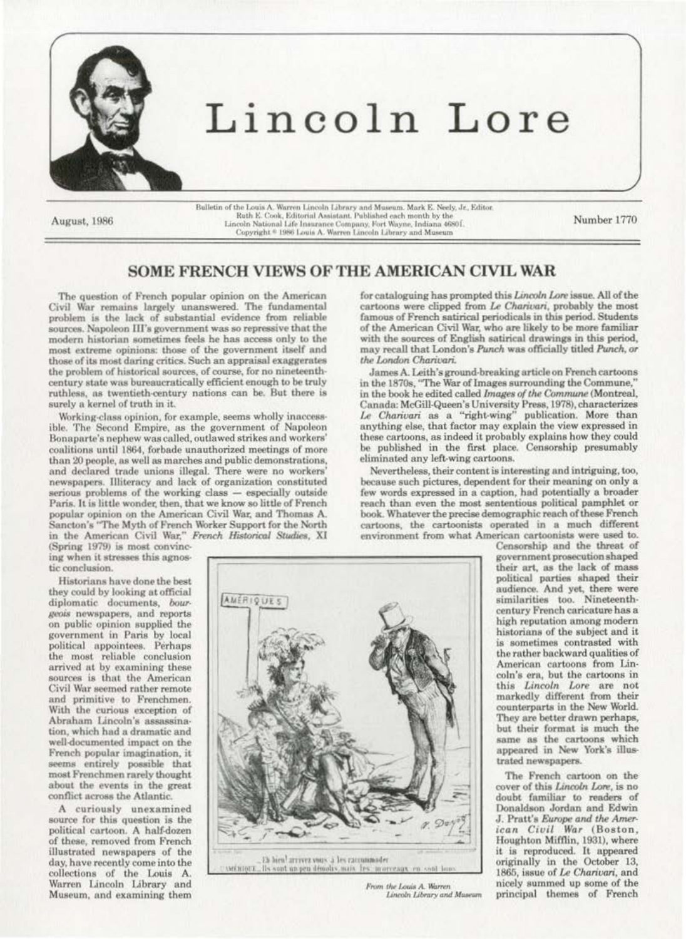

August, 1986

Bulletin of the Louis A. Warren Lincoln Library and Museum. Mark E. Neely, Jr., Editor. Ruth E. Cook, Editorial Assistant. Published each month by the Lincoln National Life Insurance Company, Fort Wayne, Indiana 4680 f.<br>Copyright \* 1986 Louis A. Warren Lincoln Library and Museum

Number 1770

## SOME FRENCH VIEWS OF THE AMERICAN CIVIL WAR

The question of French popular opinion on the American Civil War remains largely unanswered. The fundamental<br>problem is the lack of substantial evidence from reliable sources. Napoleon III's government was so repressive that the modern historian sometimes feels he has access only to the most extreme opinions: those of the government itself and those of its most daring critics. Such an appraisal exaggerates the problem of historical sources, of course, for no nineteenthcentury state was bureaucratically efficient enough to be truly ruthless, as twentieth-century nations can be. But there is surely a kernel of truth in it.

Working-class opinion, for example, seems wholly inaccessible. The Second Empire, as the government of Napoleon Bonaparte's nephew was called, outlawed strikes and workers' coalitions until 1864, forbade unauthorized meetings of more than 20 people, as well as marches and public demonstrations, and declared trade unions illegal. There were no workers' newspapers. Illiteracy and lack of organization constituted serious problems of the working class - especially outside Paris. It is little wonder, then, that we know so little of French popular opinion on the American Civil War, and Thomas A. Sancton's "The Myth of French Worker Support for the North in the American Civil War." French Historical Studies, XI (Spring 1979) is most convinc-

ing when it stresses this agnostic conclusion.

Historians have done the best they could by looking at official diplomatic documents, bourgeois newspapers, and reports on public opinion supplied the government in Paris by local<br>political appointees. Perhaps the most reliable conclusion arrived at by examining these sources is that the American Civil War seemed rather remote and primitive to Frenchmen. With the curious exception of Abraham Lincoln's assassination, which had a dramatic and well-documented impact on the French popular imagination, it seems entirely possible that most Frenchmen rarely thought about the events in the great conflict across the Atlantic.

A curiously unexamined source for this question is the political cartoon. A half-dozen of these, removed from French illustrated newspapers of the day, have recently come into the collections of the Louis A. Warren Lincoln Library and Museum, and examining them for cataloguing has prompted this Lincoln Lore issue. All of the cartoons were clipped from Le Charivari, probably the most famous of French satirical periodicals in this period. Students of the American Civil War, who are likely to be more familiar with the sources of English satirical drawings in this period, may recall that London's Punch was officially titled Punch, or the London Charivari.

James A. Leith's ground-breaking article on French cartoons in the 1870s, "The War of Images surrounding the Commune," in the book he edited called Images of the Commune (Montreal, Canada: McGill-Queen's University Press, 1978), characterizes Le Charivari as a "right-wing" publication. More than anything else, that factor may explain the view expressed in these cartoons, as indeed it probably explains how they could be published in the first place. Censorship presumably eliminated any left-wing cartoons.

Nevertheless, their content is interesting and intriguing, too, because such pictures, dependent for their meaning on only a few words expressed in a caption, had potentially a broader reach than even the most sententious political pamphlet or book. Whatever the precise demographic reach of these French cartoons, the cartoonists operated in a much different environment from what American cartoonists were used to.

**AMERIQUES** 

. Eh hien<sup>1</sup> arrivez vous à les raccummoder<br>. Ils sont un peu dénodis, mais : les : mor in are

From the Louis A. Warren Lincoln Library and Museum

Censorship and the threat of government prosecution shaped their art, as the lack of mass political parties shaped their audience. And yet, there were<br>similarities too. Nineteenthcentury French caricature has a high reputation among modern historians of the subject and it is sometimes contrasted with the rather backward qualities of American cartoons from Lincoln's era, but the cartoons in this Lincoln Lore are not markedly different from their counterparts in the New World. They are better drawn perhaps, but their format is much the same as the cartoons which<br>appeared in New York's illustrated newspapers.

The French cartoon on the cover of this Lincoln Lore, is no doubt familiar to readers of Donaldson Jordan and Edwin J. Pratt's Europe and the American Civil War (Boston, Houghton Mifflin, 1931), where it is reproduced. It appeared<br>originally in the October 13, 1865, issue of Le Charivari, and nicely summed up some of the principal themes of French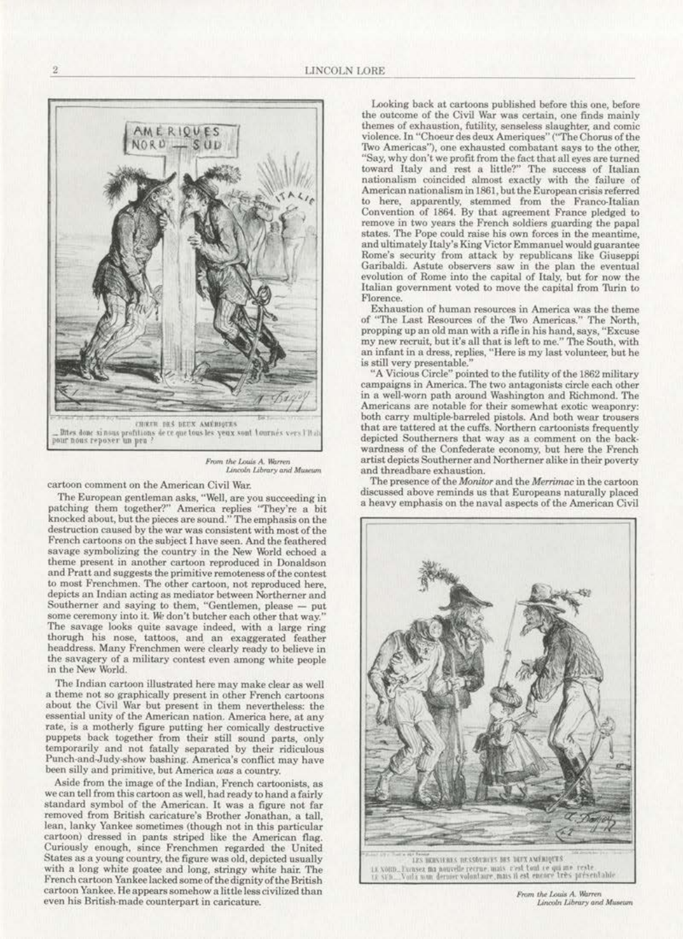

From the Louis A. Warren Lincoln Library and Museum

cartoon comment on the American Civil War.

The European gentleman asks, "Well, are you succeeding in patching them together?" America replies "They're a bit knocked about, but the pieces are sound. ''The emphasis on the destruction caused by the war was consistent with most of the French cartoons on the subject I have seen. And the feathered<br>savage symbolizing the country in the New World echoed a theme present in another cartoon reproduced in Donaldson and Pratt and suggests the primitive remoteness of the contest to most Frenchmen. The other cartoon, not reproduced here, depicts an Indian acting as mediator between Northerner and Southerner and saying to them, "Gentlemen, please - put some ceremony into it. We don't butcher each other that way." The savage looks quite savage indeed, with a large ring thorugh his nose, tattoos, and. an exaggerated feather headdress. Many Frenchmen were clearly ready to believe in the savagery of a military contest even among white people in the New World.

The Indian cartoon illustrated here may make clear as well<br>a theme not so graphically present in other French cartoons about the Civil War but present in them nevertheless: the essential unity of the American nation. America here, at any rate, is a motherly figure putting her comically destructive puppets back together from their still sound parts, only temporarily and not fatally separated by their ridiculous Punch-and-Judy-show bashing. America's conflict may have been siiJy and primitive. but America *was* a country.

Aside from the image of the Indian, French cartoonists, as we can tell from lhis cartoon as welJ, had ready to hand a fairly standard symbol of the American. It was a figure not far removed from British caricature's Brother Jonathan, a tall. lean, lanky Yankee sometimes (though not in this particular cartoon) dressed in pants striped like the American flag. Curiously enough. since Frenchmen regarded the United States as a young country, the figure was old, depicted usually with a long white goatee and long, stringy white hair: The French cartoon Yankee lacked some of the dignity of the British cartoon Yankee. He appears somehow a little Jess civilized than even his British. made counterpart in caricature.

Looking back at cartoons published before this one, before the outcome of the Civil War was certain, one finds mainly themes of exhaustion, futility, senseless slaughter, and comic violence. In "Choeur des deux Ameriques" ("The Chorus of the Two Americas"), one exhausted combatant says to the other. "Say, why don't we profit from the fact that all eyes are turned toward Italy and rest a little?" The success of Italian nationalism coincided almost exactly with the failure of American nationalism in 1861, but the European crisis referred to here, apparently, stemmed from the Franco-Italian Convention of 1864. By that agreement France pledged to remove in two years the French soldiers guarding the papal states. The Pope could raise his own forces in the meantime. and ultimately Italy's King Victor Emmanuel would guarantee Rome's security from attack by republicans like Giuseppi Garibaldi. Astute observers saw in the plan the eventual evolution of Rome into the capital of Italy, but for now the Italian government voted to move the capital from 'TUrin to Florence.

Exhaustion of human resources in America was the theme of "The Last Resources of the Two Americas." The North, propping up an old man with a rifle in his hand, says, "Excuse my new recruit, but it's all that is left to me." The South, with an infant in a dress, replies, "Here is my last volunteer, but he is still very presentable."

"A Vicious Circle" pointed to the futility of the 1862 military campaigns in America The two antagonists circle each other in a well-worn path around Washington and Richmond. The Americans are notable for their somewhat exotic weaponry: both carry multiple-barreled pistols. And both wear trousers that are tattered at the cuffs. Northern cartoonists frequently depicted Southerners that way as a comment on the back· wardness of the Confederate economy, but here the French artist depicts Southerner and Northerner alike in their poverty and threadbare exhaustion.

The presence of the Monitor and the Merrimac in the cartoon discussed above reminds us that Europeans naturally placed a heavy emphasis on the naval aspects of the American Civil



From the Louis A. Warren **Lincoln Library and Museum**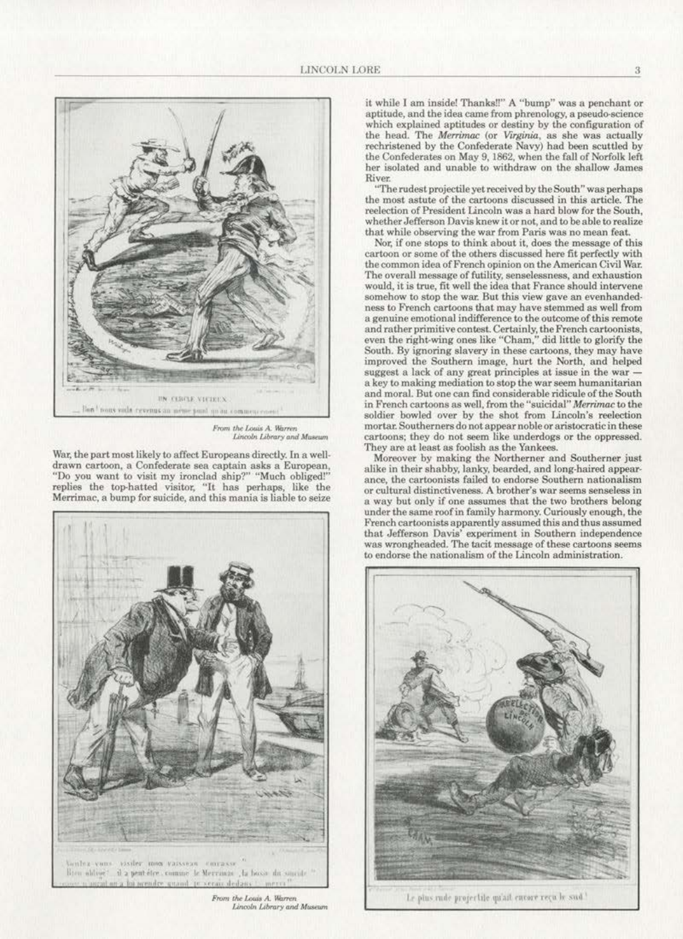

From the Louis A. Warren<br>Lincoln Library and Museum

War, the part most likely to affect Europeans directly. In a well- drawn cartoon, a Confederate sea captain asks a European, "Do you want to visit my ironclad ship?" "Much obliged!" replies the top-hatted visitor, "It has perhaps, like the Merrimac, a bump for suicide, and this mania is liable to seize



From the Louis A. Warren Lincoln Library and Museum

it while I am inside! Thanks!!" A "bump" was a penchant or aptitude. and the idea came from phrenology, a pseudo-science which explained aptitudes or destiny by the configuration of the bead. The *Merrimac* (or *Virginia,* as she was actually rechristened by the Confederate Navy) had been scuttled by the Confederates on May 9, 1862, when the fall of Norfolk left ber isolated and unable to withdraw on the shallow James River.

"The rudest projectile yet received by the South" was perhaps the most astute of the cartoons discussed in this article. The reelection of President Lincoln was a hard blow for the South, whether Jefferson Davis knew it or not. and to be able to realize that while observing the war from Paris was no mean feat.

Nor, if one stops to think about it, does the message of this cartoon or some of the others discussed here fit perfectly with the common idea of French opinion on the American Civil War.<br>The overall message of futility, senselessness, and exhaustion would, it is true, fit well the idea that France should intervene somehow to stop the war. But this view gave an evenhanded· ness to French cartoons that may have stemmed as well from a genuine emotional indifference to the outcome of this remote and rather primitive contest. Certainly, the French cartoonists, even the right-wing ones like "Cham," did little to glorify the South. By ignoring slavery in these cartoons, they may have improved the Southern image, hurt the North, and helped suggest a lack of any great principles at issue in the war a key to making mediation to stop the war seem humanitarian and moral. But one can find considerable ridicule of the South in French cartoons as well. from the "suicidal" *Merrimat* to the soldier bowled over by the shot from Lincoln's reelection mortar. Southerners do not appear noble or aristocratic in these cartoons; they do not seem like underdogs or the oppressed. They are at least as foolish as the Yankees.

Moreover by making the Northerner and Southerner just alike in their shabby, lanky, bearded, and long-haired appear· or cultural distinctiveness. A brother's war seems senseless in a way but only if one assumes that the two brothers belong under the same roof in family harmony. Curiously enough, the French cartoonists apparently assumed this and thus assumed that Jefferaon Davis' experiment in Southern independence was wrongheaded. The tacit message of these cartoons seems to endorse the nationalism of the Lincoln adminiskation.



Le plus rude projectile qu'ait curore reçu le sud